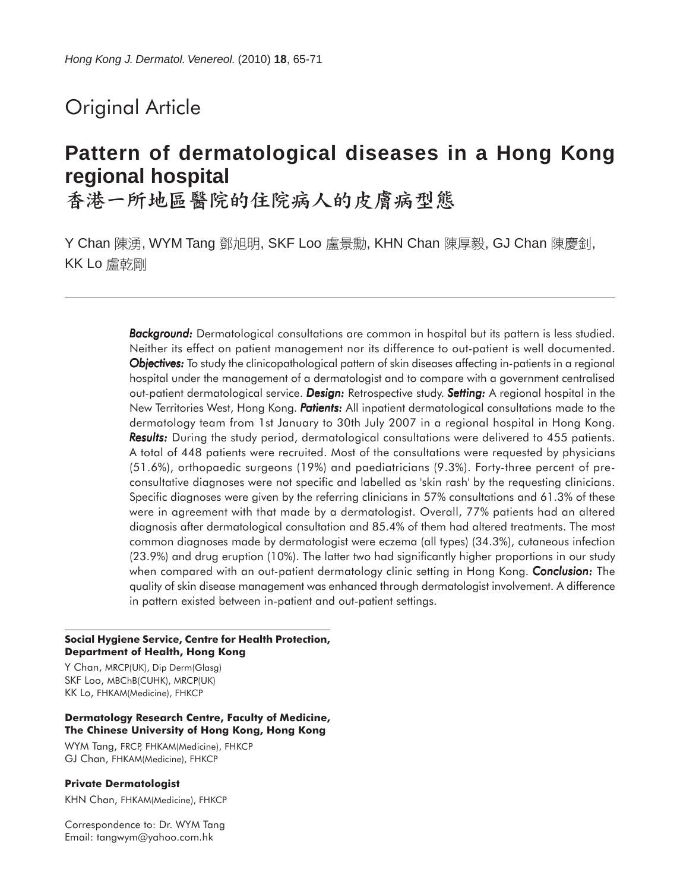# Original Article

# **Pattern of dermatological diseases in a Hong Kong regional hospital**

香港一所地區醫院的住院病人的皮膚病型態

Y Chan 陳湧, WYM Tang 鄧旭明, SKF Loo 盧景勳, KHN Chan 陳厚毅, GJ Chan 陳慶釗, KK Lo 盧乾剛

> *Background: Background:* Dermatological consultations are common in hospital but its pattern is less studied. Neither its effect on patient management nor its difference to out-patient is well documented. *Objectives: Objectives:* To study the clinicopathological pattern of skin diseases affecting in-patients in a regional hospital under the management of a dermatologist and to compare with a government centralised out-patient dermatological service. *Design: Design:* Retrospective study. *Setting:* A regional hospital in the New Territories West, Hong Kong. *Patients: atients:* All inpatient dermatological consultations made to the dermatology team from 1st January to 30th July 2007 in a regional hospital in Hong Kong. **Results:** During the study period, dermatological consultations were delivered to 455 patients. A total of 448 patients were recruited. Most of the consultations were requested by physicians (51.6%), orthopaedic surgeons (19%) and paediatricians (9.3%). Forty-three percent of preconsultative diagnoses were not specific and labelled as 'skin rash' by the requesting clinicians. Specific diagnoses were given by the referring clinicians in 57% consultations and 61.3% of these were in agreement with that made by a dermatologist. Overall, 77% patients had an altered diagnosis after dermatological consultation and 85.4% of them had altered treatments. The most common diagnoses made by dermatologist were eczema (all types) (34.3%), cutaneous infection (23.9%) and drug eruption (10%). The latter two had significantly higher proportions in our study when compared with an out-patient dermatology clinic setting in Hong Kong. *Conclusion: Conclusion:* The quality of skin disease management was enhanced through dermatologist involvement. A difference in pattern existed between in-patient and out-patient settings.

#### **Social Hygiene Service, Centre for Health Protection, Department of Health, Hong Kong**

Y Chan, MRCP(UK), Dip Derm(Glasg) SKF Loo, MBChB(CUHK), MRCP(UK) KK Lo, FHKAM(Medicine), FHKCP

#### **Dermatology Research Centre, Faculty of Medicine, The Chinese University of Hong Kong, Hong Kong**

WYM Tang, FRCP, FHKAM(Medicine), FHKCP GJ Chan, FHKAM(Medicine), FHKCP

#### **Private Dermatologist**

KHN Chan, FHKAM(Medicine), FHKCP

Correspondence to: Dr. WYM Tang Email: tangwym@yahoo.com.hk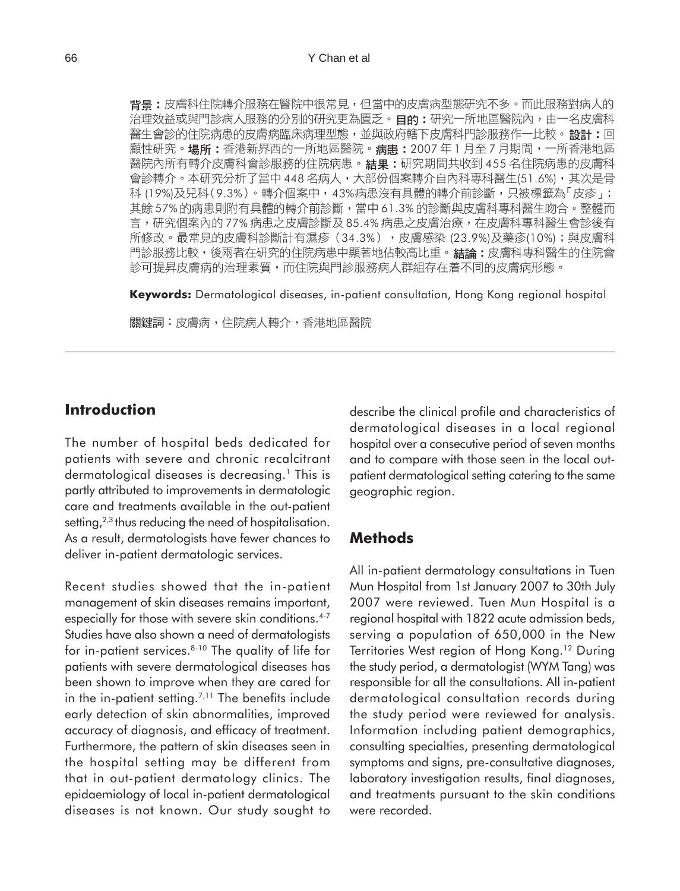背景:皮膚科住院轉介服務在醫院中很常見,但當中的皮膚病型態研究不多。而此服務對病人的 治理效益或與門診病人服務的分別的研究更為匱乏。目的:研究一所地區醫院內,由一名皮膚科 醫生會診的住院病患的皮膚病臨床病理型態,並與政府轄下皮膚科門診服務作一比較。設計:回 顧性研究。場所:香港新界西的一所地區醫院。病患:2007年1月至7月期間,一所香港地區 醫院內所有轉介皮膚科會診服務的住院病患。**結果:**研究期間共收到 455 名住院病患的皮膚科 會診轉介。本研究分析了當中448名病人,大部份個案轉介自內科專科醫生(51.6%),其次是骨 科 (19%)及兒科(9.3%)。轉介個案中,43%病患沒有具體的轉介前診斷,只被標籤為「皮疹」; 其餘57%的病患則附有具體的轉介前診斷,當中61.3%的診斷與皮膚科專科醫生吻合。整體而 言,研究個案內的77%病患之皮膚診斷及85.4%病患之皮膚治療,在皮膚科專科醫生會診後有 所修改。最常見的皮膚科診斷計有濕疹(34.3%),皮膚感染 (23.9%)及藥疹(10%);與皮膚科 門診服務比較,後兩者在研究的住院病患中顯著地佔較高比重。**結論:**皮膚科專科醫生的住院會 診可提昇皮膚病的治理素質,而住院與門診服務病人群組存在着不同的皮膚病形態。

**Keywords:** Dermatological diseases, in-patient consultation, Hong Kong regional hospital

關鍵詞:皮膚病,住院病人轉介,香港地區醫院

### **Introduction**

The number of hospital beds dedicated for patients with severe and chronic recalcitrant dermatological diseases is decreasing.<sup>1</sup> This is partly attributed to improvements in dermatologic care and treatments available in the out-patient setting,  $2,3$  thus reducing the need of hospitalisation. As a result, dermatologists have fewer chances to deliver in-patient dermatologic services.

Recent studies showed that the in-patient management of skin diseases remains important, especially for those with severe skin conditions.<sup>4-7</sup> Studies have also shown a need of dermatologists for in-patient services.8-10 The quality of life for patients with severe dermatological diseases has been shown to improve when they are cared for in the in-patient setting.<sup> $7,11$ </sup> The benefits include early detection of skin abnormalities, improved accuracy of diagnosis, and efficacy of treatment. Furthermore, the pattern of skin diseases seen in the hospital setting may be different from that in out-patient dermatology clinics. The epidaemiology of local in-patient dermatological diseases is not known. Our study sought to

describe the clinical profile and characteristics of dermatological diseases in a local regional hospital over a consecutive period of seven months and to compare with those seen in the local outpatient dermatological setting catering to the same geographic region.

### **Methods**

All in-patient dermatology consultations in Tuen Mun Hospital from 1st January 2007 to 30th July 2007 were reviewed. Tuen Mun Hospital is a regional hospital with 1822 acute admission beds, serving a population of 650,000 in the New Territories West region of Hong Kong.<sup>12</sup> During the study period, a dermatologist (WYM Tang) was responsible for all the consultations. All in-patient dermatological consultation records during the study period were reviewed for analysis. Information including patient demographics, consulting specialties, presenting dermatological symptoms and signs, pre-consultative diagnoses, laboratory investigation results, final diagnoses, and treatments pursuant to the skin conditions were recorded.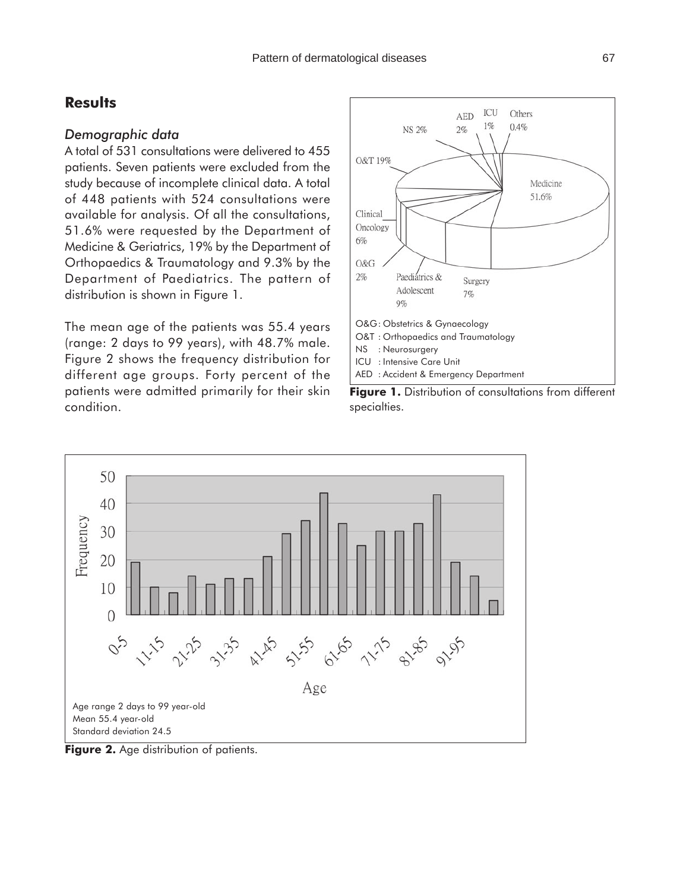### **Results**

#### *Demographic data*

A total of 531 consultations were delivered to 455 patients. Seven patients were excluded from the study because of incomplete clinical data. A total of 448 patients with 524 consultations were available for analysis. Of all the consultations, 51.6% were requested by the Department of Medicine & Geriatrics, 19% by the Department of Orthopaedics & Traumatology and 9.3% by the Department of Paediatrics. The pattern of distribution is shown in Figure 1.

The mean age of the patients was 55.4 years (range: 2 days to 99 years), with 48.7% male. Figure 2 shows the frequency distribution for different age groups. Forty percent of the patients were admitted primarily for their skin condition.







**Figure 2.** Age distribution of patients.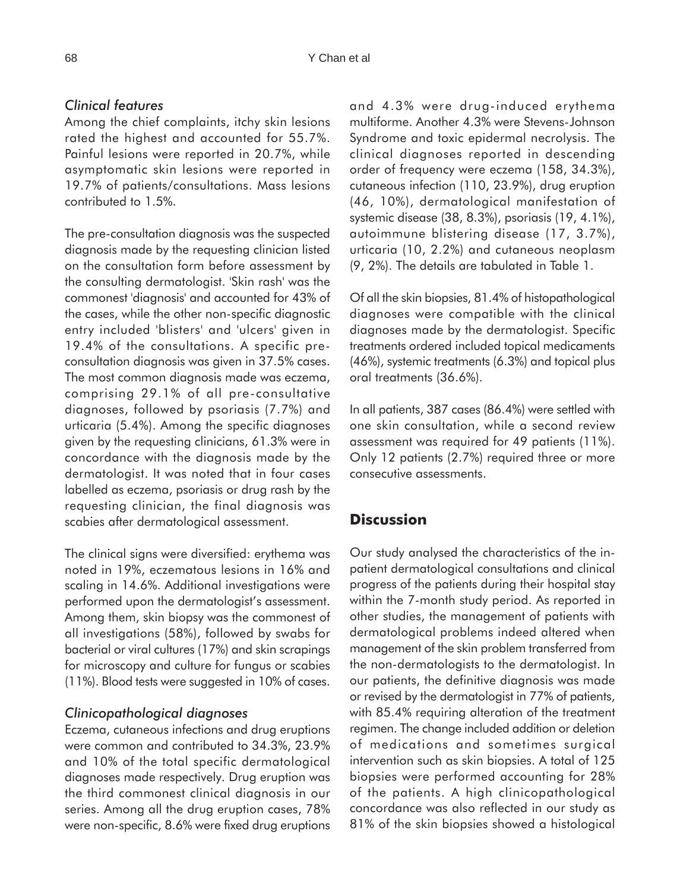#### *Clinical features*

Among the chief complaints, itchy skin lesions rated the highest and accounted for 55.7%. Painful lesions were reported in 20.7%, while asymptomatic skin lesions were reported in 19.7% of patients/consultations. Mass lesions contributed to 1.5%.

The pre-consultation diagnosis was the suspected diagnosis made by the requesting clinician listed on the consultation form before assessment by the consulting dermatologist. 'Skin rash' was the commonest 'diagnosis' and accounted for 43% of the cases, while the other non-specific diagnostic entry included 'blisters' and 'ulcers' given in 19.4% of the consultations. A specific preconsultation diagnosis was given in 37.5% cases. The most common diagnosis made was eczema, comprising 29.1% of all pre-consultative diagnoses, followed by psoriasis (7.7%) and urticaria (5.4%). Among the specific diagnoses given by the requesting clinicians, 61.3% were in concordance with the diagnosis made by the dermatologist. It was noted that in four cases labelled as eczema, psoriasis or drug rash by the requesting clinician, the final diagnosis was scabies after dermatological assessment.

The clinical signs were diversified: erythema was noted in 19%, eczematous lesions in 16% and scaling in 14.6%. Additional investigations were performed upon the dermatologist's assessment. Among them, skin biopsy was the commonest of all investigations (58%), followed by swabs for bacterial or viral cultures (17%) and skin scrapings for microscopy and culture for fungus or scabies (11%). Blood tests were suggested in 10% of cases.

### *Clinicopathological diagnoses*

Eczema, cutaneous infections and drug eruptions were common and contributed to 34.3%, 23.9% and 10% of the total specific dermatological diagnoses made respectively. Drug eruption was the third commonest clinical diagnosis in our series. Among all the drug eruption cases, 78% were non-specific, 8.6% were fixed drug eruptions and 4.3% were drug-induced erythema multiforme. Another 4.3% were Stevens-Johnson Syndrome and toxic epidermal necrolysis. The clinical diagnoses reported in descending order of frequency were eczema (158, 34.3%), cutaneous infection (110, 23.9%), drug eruption (46, 10%), dermatological manifestation of systemic disease (38, 8.3%), psoriasis (19, 4.1%), autoimmune blistering disease (17, 3.7%), urticaria (10, 2.2%) and cutaneous neoplasm (9, 2%). The details are tabulated in Table 1.

Of all the skin biopsies, 81.4% of histopathological diagnoses were compatible with the clinical diagnoses made by the dermatologist. Specific treatments ordered included topical medicaments (46%), systemic treatments (6.3%) and topical plus oral treatments (36.6%).

In all patients, 387 cases (86.4%) were settled with one skin consultation, while a second review assessment was required for 49 patients (11%). Only 12 patients (2.7%) required three or more consecutive assessments.

## **Discussion**

Our study analysed the characteristics of the inpatient dermatological consultations and clinical progress of the patients during their hospital stay within the 7-month study period. As reported in other studies, the management of patients with dermatological problems indeed altered when management of the skin problem transferred from the non-dermatologists to the dermatologist. In our patients, the definitive diagnosis was made or revised by the dermatologist in 77% of patients, with 85.4% requiring alteration of the treatment regimen. The change included addition or deletion of medications and sometimes surgical intervention such as skin biopsies. A total of 125 biopsies were performed accounting for 28% of the patients. A high clinicopathological concordance was also reflected in our study as 81% of the skin biopsies showed a histological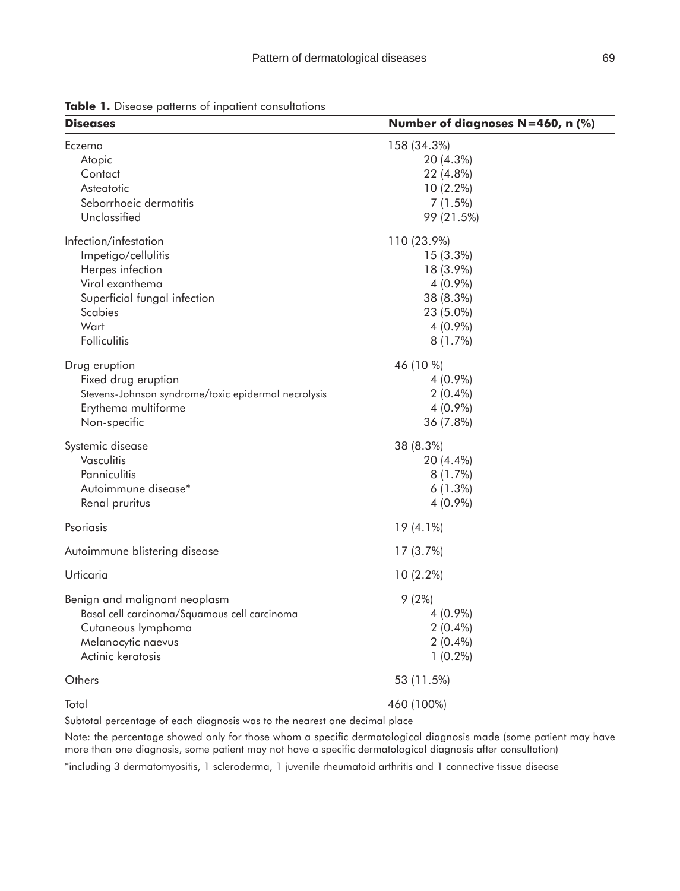**Diseases Number of diagnoses N=460, n (%)** 

Eczema 158 (34.3%) Atopic 20 (4.3%) Contact 22 (4.8%) Asteatotic 10 (2.2%) Seborrhoeic dermatitis 7 (1.5%) Unclassified 99 (21.5%) Infection/infestation 110 (23.9%) Impetigo/cellulitis 15 (3.3%) Herpes infection 18 (3.9%) Viral exanthema 4 (0.9%) Superficial fungal infection 38 (8.3%) Scabies 23 (5.0%) Wart 4 (0.9%) Folliculitis 8 (1.7%) Drug eruption 46 (10 %) Fixed drug eruption  $4 (0.9\%)$ Stevens-Johnson syndrome/toxic epidermal necrolysis 2 (0.4%) Erythema multiforme  $4(0.9\%)$ Non-specific 36 (7.8%) Systemic disease 38 (8.3%) Vasculitis 20 (4.4%) Panniculitis 8 (1.7%) Autoimmune disease\* 6 (1.3%) Renal pruritus 4 (0.9%) Psoriasis 19 (4.1%) Autoimmune blistering disease 17 (3.7%) Urticaria 10 (2.2%) Benign and malignant neoplasm and the settlement of  $(2\%)$ Basal cell carcinoma/Squamous cell carcinoma  $4(0.9\%)$ Cutaneous lymphoma 2 (0.4%) Melanocytic naevus 2 (0.4%) Actinic keratosis 1 (0.2%) Others 53 (11.5%) Total 460 (100%)

**Table 1.** Disease patterns of inpatient consultations

Subtotal percentage of each diagnosis was to the nearest one decimal place

Note: the percentage showed only for those whom a specific dermatological diagnosis made (some patient may have more than one diagnosis, some patient may not have a specific dermatological diagnosis after consultation)

\*including 3 dermatomyositis, 1 scleroderma, 1 juvenile rheumatoid arthritis and 1 connective tissue disease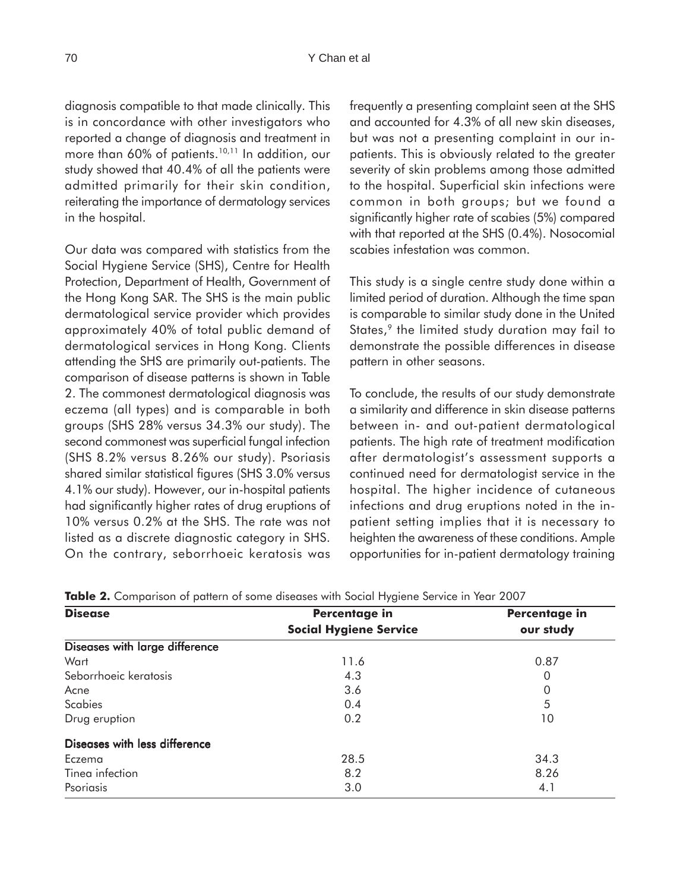diagnosis compatible to that made clinically. This is in concordance with other investigators who reported a change of diagnosis and treatment in more than 60% of patients.<sup>10,11</sup> In addition, our study showed that 40.4% of all the patients were admitted primarily for their skin condition, reiterating the importance of dermatology services in the hospital.

Our data was compared with statistics from the Social Hygiene Service (SHS), Centre for Health Protection, Department of Health, Government of the Hong Kong SAR. The SHS is the main public dermatological service provider which provides approximately 40% of total public demand of dermatological services in Hong Kong. Clients attending the SHS are primarily out-patients. The comparison of disease patterns is shown in Table 2. The commonest dermatological diagnosis was eczema (all types) and is comparable in both groups (SHS 28% versus 34.3% our study). The second commonest was superficial fungal infection (SHS 8.2% versus 8.26% our study). Psoriasis shared similar statistical figures (SHS 3.0% versus 4.1% our study). However, our in-hospital patients had significantly higher rates of drug eruptions of 10% versus 0.2% at the SHS. The rate was not listed as a discrete diagnostic category in SHS. On the contrary, seborrhoeic keratosis was

frequently a presenting complaint seen at the SHS and accounted for 4.3% of all new skin diseases, but was not a presenting complaint in our inpatients. This is obviously related to the greater severity of skin problems among those admitted to the hospital. Superficial skin infections were common in both groups; but we found a significantly higher rate of scabies (5%) compared with that reported at the SHS (0.4%). Nosocomial scabies infestation was common.

This study is a single centre study done within a limited period of duration. Although the time span is comparable to similar study done in the United States,<sup>9</sup> the limited study duration may fail to demonstrate the possible differences in disease pattern in other seasons.

To conclude, the results of our study demonstrate a similarity and difference in skin disease patterns between in- and out-patient dermatological patients. The high rate of treatment modification after dermatologist's assessment supports a continued need for dermatologist service in the hospital. The higher incidence of cutaneous infections and drug eruptions noted in the inpatient setting implies that it is necessary to heighten the awareness of these conditions. Ample opportunities for in-patient dermatology training

| <b>Disease</b>                | Percentage in<br><b>Social Hygiene Service</b> | Percentage in<br>our study |
|-------------------------------|------------------------------------------------|----------------------------|
|                               |                                                |                            |
| Wart                          | 11.6                                           | 0.87                       |
| Seborrhoeic keratosis         | 4.3                                            | 0                          |
| Acne                          | 3.6                                            | 0                          |
| <b>Scabies</b>                | 0.4                                            | 5                          |
| Drug eruption                 | 0.2                                            | 10                         |
| Diseases with less difference |                                                |                            |
| Eczema                        | 28.5                                           | 34.3                       |
| Tinea infection               | 8.2                                            | 8.26                       |
| Psoriasis                     | 3.0                                            | 4.1                        |

**Table 2.** Comparison of pattern of some diseases with Social Hygiene Service in Year 2007